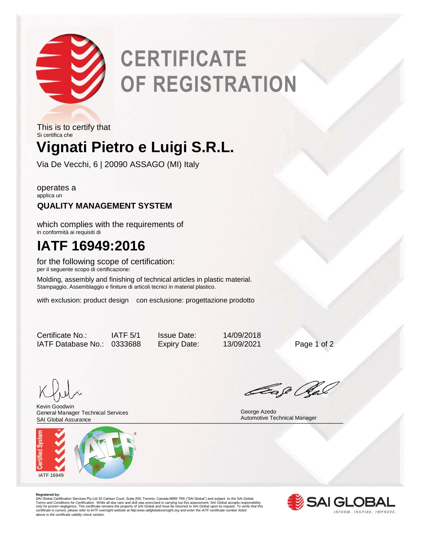

# **CERTIFICATE OF REGISTRATION**

## **Vignati Pietro e Luigi S.R.L.** This is to certify that Si certifica che

Via De Vecchi, 6 | 20090 ASSAGO (MI) Italy

operates a applica un

### **QUALITY MANAGEMENT SYSTEM**

which complies with the requirements of in conformità ai requisiti di

## **IATF 16949:2016**

for the following scope of certification: per il seguente scopo di certificazione:

Molding, assembly and finishing of technical articles in plastic material. Stampaggio, Assemblaggio e finiture di articoli tecnici in material plastico.

with exclusion: product design con esclusione: progettazione prodotto

Certificate No.: IATF 5/1 Issue Date: 14/09/2018 IATF Database No.: 0333688 Expiry Date: 13/09/2021 Page 1 of 2

SAI Global Assurance **Manager** Automotive Technical Manager<br>
Automotive Technical Manager Kevin Goodwin General Manager Technical Services SAI Global Assurance



Eage Ga

George Azedo

**Registered by:**<br>SAI Global Certification Services Pty Ltd 20 Carlson Court, Suite 200; Toronto, Canada M9W 7K6 ("SAI Global") and subject to the SAI Global<br>Terms and Conditions for Certification. While all due care and sk *certificate is current, please refer to IATF oversight website at http:www.iatfglobaloversight.org and enter the IATF certificate number listed above in the certificate validity check section.*